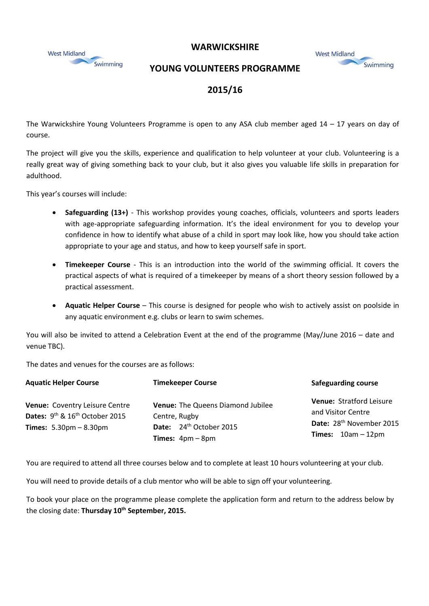



## **YOUNG VOLUNTEERS PROGRAMME**

| <b>West Midland</b> |          |
|---------------------|----------|
|                     | Swimming |

## **2015/16**

The Warwickshire Young Volunteers Programme is open to any ASA club member aged  $14 - 17$  years on day of course.

The project will give you the skills, experience and qualification to help volunteer at your club. Volunteering is a really great way of giving something back to your club, but it also gives you valuable life skills in preparation for adulthood.

This year's courses will include:

- **Safeguarding (13+)** This workshop provides young coaches, officials, volunteers and sports leaders with age-appropriate safeguarding information. It's the ideal environment for you to develop your confidence in how to identify what abuse of a child in sport may look like, how you should take action appropriate to your age and status, and how to keep yourself safe in sport.
- **Timekeeper Course** This is an introduction into the world of the swimming official. It covers the practical aspects of what is required of a timekeeper by means of a short theory session followed by a practical assessment.
- **Aquatic Helper Course** This course is designed for people who wish to actively assist on poolside in any aquatic environment e.g. clubs or learn to swim schemes.

You will also be invited to attend a Celebration Event at the end of the programme (May/June 2016 – date and venue TBC).

The dates and venues for the courses are as follows:

| <b>Aquatic Helper Course</b>                                                                                                  | <b>Timekeeper Course</b>                                                                                               | <b>Safeguarding course</b>                                                                                            |
|-------------------------------------------------------------------------------------------------------------------------------|------------------------------------------------------------------------------------------------------------------------|-----------------------------------------------------------------------------------------------------------------------|
| Venue: Coventry Leisure Centre<br>Dates: $9^{th}$ & $16^{th}$ October 2015<br><b>Times:</b> $5.30 \text{pm} - 8.30 \text{pm}$ | Venue: The Queens Diamond Jubilee<br>Centre, Rugby<br>Date: 24 <sup>th</sup> October 2015<br><b>Times:</b> $4pm - 8pm$ | Venue: Stratford Leisure<br>and Visitor Centre<br>Date: 28 <sup>th</sup> November 2015<br><b>Times:</b> $10am - 12pm$ |

You are required to attend all three courses below and to complete at least 10 hours volunteering at your club.

You will need to provide details of a club mentor who will be able to sign off your volunteering.

To book your place on the programme please complete the application form and return to the address below by the closing date: **Thursday 10th September, 2015.**